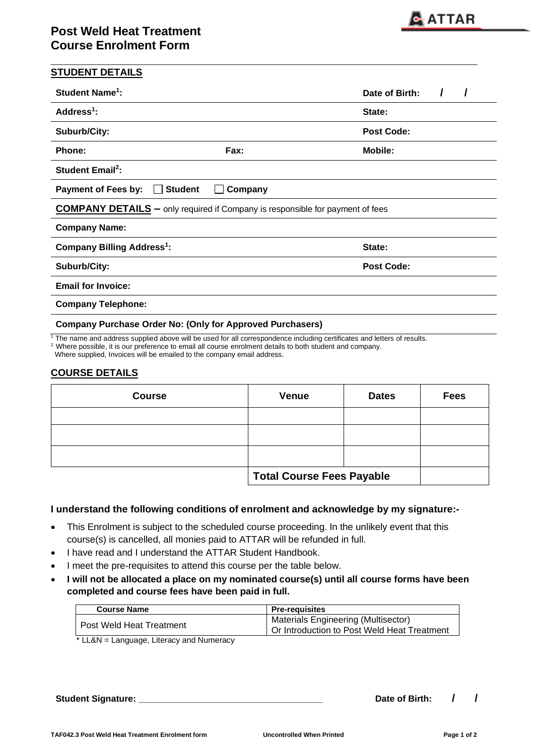| <b>Student Name<sup>1</sup>:</b>            |                                                                                      | Date of Birth:    |
|---------------------------------------------|--------------------------------------------------------------------------------------|-------------------|
| Address $1$ :                               |                                                                                      | State:            |
| Suburb/City:                                |                                                                                      | <b>Post Code:</b> |
| Phone:                                      | Fax:                                                                                 | <b>Mobile:</b>    |
| <b>Student Email<sup>2</sup>:</b>           |                                                                                      |                   |
| <b>Payment of Fees by:</b>                  | <b>Student</b><br>Company                                                            |                   |
|                                             | <b>COMPANY DETAILS</b> – only required if Company is responsible for payment of fees |                   |
|                                             |                                                                                      |                   |
| <b>Company Name:</b>                        |                                                                                      |                   |
| <b>Company Billing Address<sup>1</sup>:</b> |                                                                                      | State:            |
| Suburb/City:                                |                                                                                      | <b>Post Code:</b> |
| <b>Email for Invoice:</b>                   |                                                                                      |                   |

**\_\_\_\_\_\_\_\_\_\_\_\_\_\_\_\_\_\_\_\_\_\_\_\_\_\_\_\_\_\_\_\_\_\_\_\_\_\_\_\_\_\_\_\_\_\_\_\_\_\_\_\_\_\_\_\_\_\_\_\_\_**

 $1$  The name and address supplied above will be used for all correspondence including certificates and letters of results.

<sup>2</sup> Where possible, it is our preference to email all course enrolment details to both student and company.

Where supplied, Invoices will be emailed to the company email address.

## **COURSE DETAILS**

| <b>Course</b> | <b>Venue</b>                     | <b>Dates</b> | <b>Fees</b> |
|---------------|----------------------------------|--------------|-------------|
|               |                                  |              |             |
|               |                                  |              |             |
|               |                                  |              |             |
|               | <b>Total Course Fees Payable</b> |              |             |

### **I understand the following conditions of enrolment and acknowledge by my signature:-**

- This Enrolment is subject to the scheduled course proceeding. In the unlikely event that this course(s) is cancelled, all monies paid to ATTAR will be refunded in full.
- I have read and I understand the ATTAR Student Handbook.
- I meet the pre-requisites to attend this course per the table below.
- **I will not be allocated a place on my nominated course(s) until all course forms have been completed and course fees have been paid in full.**

| <b>Course Name</b>                            | <b>Pre-requisites</b>                                                                     |
|-----------------------------------------------|-------------------------------------------------------------------------------------------|
| Post Weld Heat Treatment                      | <b>Materials Engineering (Multisector)</b><br>Or Introduction to Post Weld Heat Treatment |
| $*$ LL $9N - L$ anguing Literacy and Numeracy |                                                                                           |

LL&N = Language, Literacy and Numeracy